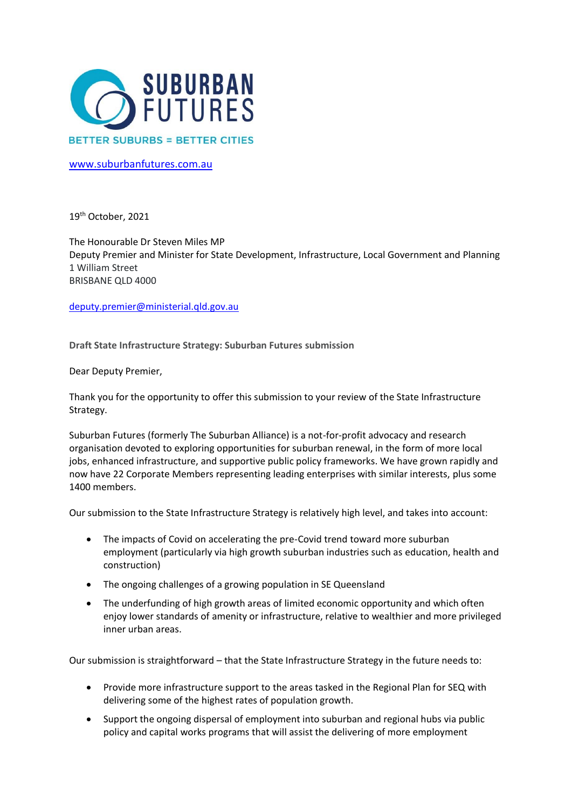

[www.suburbanfutures.com.au](http://www.suburbanfutures.com.au/)

19th October, 2021

The Honourable Dr Steven Miles MP Deputy Premier and Minister for State Development, Infrastructure, Local Government and Planning 1 William Street BRISBANE QLD 4000

[deputy.premier@ministerial.qld.gov.au](mailto:deputy.premier@ministerial.qld.gov.au)

**Draft State Infrastructure Strategy: Suburban Futures submission**

Dear Deputy Premier,

Thank you for the opportunity to offer this submission to your review of the State Infrastructure Strategy.

Suburban Futures (formerly The Suburban Alliance) is a not-for-profit advocacy and research organisation devoted to exploring opportunities for suburban renewal, in the form of more local jobs, enhanced infrastructure, and supportive public policy frameworks. We have grown rapidly and now have 22 Corporate Members representing leading enterprises with similar interests, plus some 1400 members.

Our submission to the State Infrastructure Strategy is relatively high level, and takes into account:

- The impacts of Covid on accelerating the pre-Covid trend toward more suburban employment (particularly via high growth suburban industries such as education, health and construction)
- The ongoing challenges of a growing population in SE Queensland
- The underfunding of high growth areas of limited economic opportunity and which often enjoy lower standards of amenity or infrastructure, relative to wealthier and more privileged inner urban areas.

Our submission is straightforward – that the State Infrastructure Strategy in the future needs to:

- Provide more infrastructure support to the areas tasked in the Regional Plan for SEQ with delivering some of the highest rates of population growth.
- Support the ongoing dispersal of employment into suburban and regional hubs via public policy and capital works programs that will assist the delivering of more employment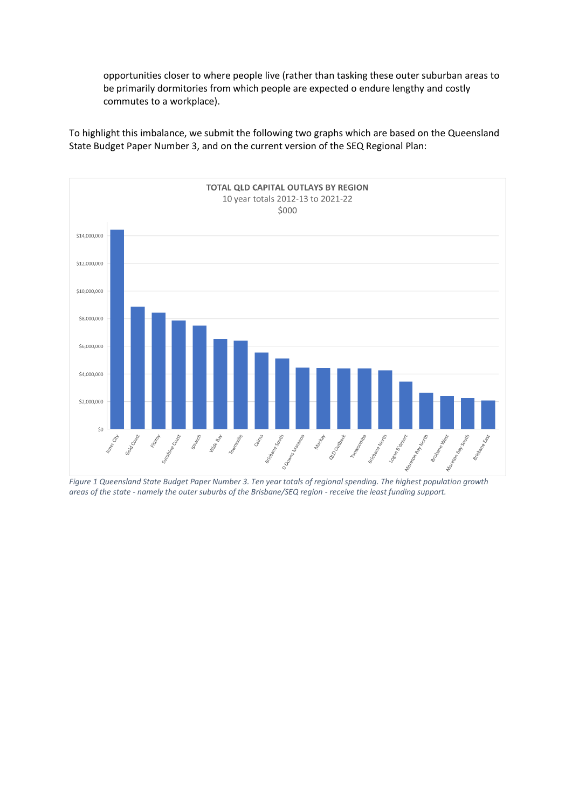opportunities closer to where people live (rather than tasking these outer suburban areas to be primarily dormitories from which people are expected o endure lengthy and costly commutes to a workplace).

To highlight this imbalance, we submit the following two graphs which are based on the Queensland State Budget Paper Number 3, and on the current version of the SEQ Regional Plan:



*Figure 1 Queensland State Budget Paper Number 3. Ten year totals of regional spending. The highest population growth areas of the state - namely the outer suburbs of the Brisbane/SEQ region - receive the least funding support.*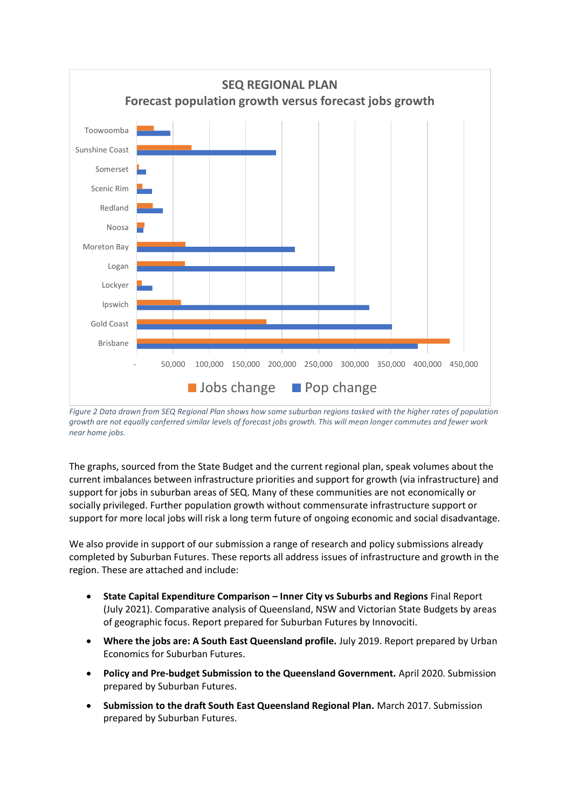

*Figure 2 Data drawn from SEQ Regional Plan shows how some suburban regions tasked with the higher rates of population growth are not equally conferred similar levels of forecast jobs growth. This will mean longer commutes and fewer work near home jobs.*

The graphs, sourced from the State Budget and the current regional plan, speak volumes about the current imbalances between infrastructure priorities and support for growth (via infrastructure) and support for jobs in suburban areas of SEQ. Many of these communities are not economically or socially privileged. Further population growth without commensurate infrastructure support or support for more local jobs will risk a long term future of ongoing economic and social disadvantage.

We also provide in support of our submission a range of research and policy submissions already completed by Suburban Futures. These reports all address issues of infrastructure and growth in the region. These are attached and include:

- **State Capital Expenditure Comparison – Inner City vs Suburbs and Regions** Final Report (July 2021). Comparative analysis of Queensland, NSW and Victorian State Budgets by areas of geographic focus. Report prepared for Suburban Futures by Innovociti.
- **Where the jobs are: A South East Queensland profile.** July 2019. Report prepared by Urban Economics for Suburban Futures.
- **Policy and Pre-budget Submission to the Queensland Government.** April 2020. Submission prepared by Suburban Futures.
- **Submission to the draft South East Queensland Regional Plan.** March 2017. Submission prepared by Suburban Futures.